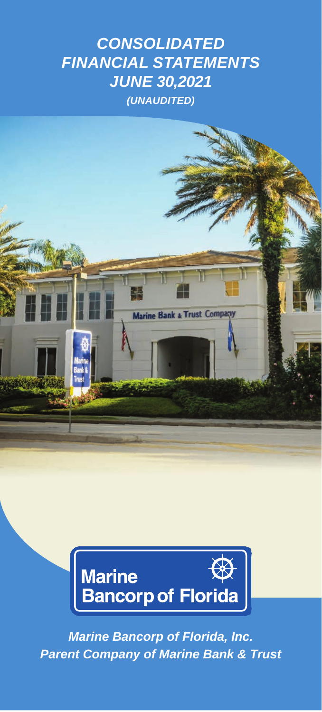# *CONSOLIDATED FINANCIAL STATEMENTS JUNE 30,2021 (UNAUDITED)*





*Marine Bancorp of Florida, Inc. Parent Company of Marine Bank & Trust*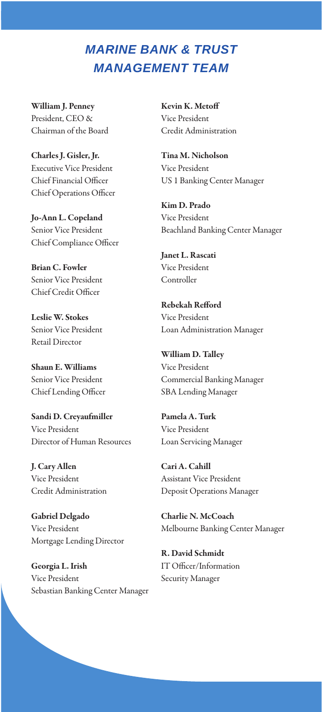## *MARINE BANK & TRUST MANAGEMENT TEAM*

William J. Penney President, CEO & Chairman of the Board

Charles J. Gisler, Jr. Executive Vice President Chief Financial Officer Chief Operations Officer

Jo-Ann L. Copeland Senior Vice President Chief Compliance Officer

Brian C. Fowler Senior Vice President Chief Credit Officer

Leslie W. Stokes Senior Vice President Retail Director

Shaun E. Williams Senior Vice President Chief Lending Officer

Sandi D. Creyaufmiller Vice President Director of Human Resources

J. Cary Allen Vice President Credit Administration

Gabriel Delgado Vice President Mortgage Lending Director

Georgia L. Irish Vice President Sebastian Banking Center Manager Kevin K. Metof Vice President Credit Administration

Tina M. Nicholson Vice President US 1 Banking Center Manager

Kim D. Prado Vice President Beachland Banking Center Manager

Janet L. Rascati Vice President Controller

Rebekah Reford Vice President Loan Administration Manager

William D. Talley Vice President Commercial Banking Manager SBA Lending Manager

Pamela A. Turk Vice President Loan Servicing Manager

Cari A. Cahill Assistant Vice President Deposit Operations Manager

Charlie N. McCoach Melbourne Banking Center Manager

R. David Schmidt IT Officer/Information Security Manager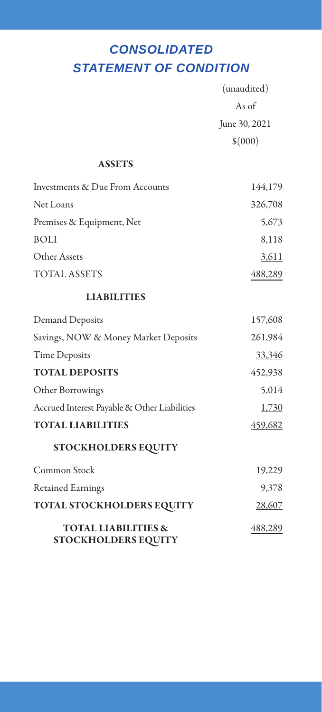## *STATEMENT OF CONDITION CONSOLIDATED*

|                                                              | (unaudited)   |
|--------------------------------------------------------------|---------------|
|                                                              | As of         |
|                                                              | June 30, 2021 |
|                                                              | \$(000)       |
| <b>ASSETS</b>                                                |               |
| Investments & Due From Accounts                              | 144,179       |
| Net Loans                                                    | 326,708       |
| Premises & Equipment, Net                                    | 5,673         |
| <b>BOLI</b>                                                  | 8,118         |
| Other Assets                                                 | 3,611         |
| <b>TOTAL ASSETS</b>                                          | 488,289       |
| <b>LIABILITIES</b>                                           |               |
| Demand Deposits                                              | 157,608       |
| Savings, NOW & Money Market Deposits                         | 261,984       |
| <b>Time Deposits</b>                                         | 33,346        |
| <b>TOTAL DEPOSITS</b>                                        | 452,938       |
| Other Borrowings                                             | 5.014         |
| Accrued Interest Payable & Other Liabilities                 | 1,730         |
| <b>TOTAL LIABILITIES</b>                                     | 459,682       |
| STOCKHOLDERS EQUITY                                          |               |
| Common Stock                                                 | 19,229        |
| <b>Retained Earnings</b>                                     | <u>9,378</u>  |
| TOTAL STOCKHOLDERS EQUITY                                    | 28,607        |
| <b>TOTAL LIABILITIES &amp;</b><br><b>STOCKHOLDERS EQUITY</b> | 488,289       |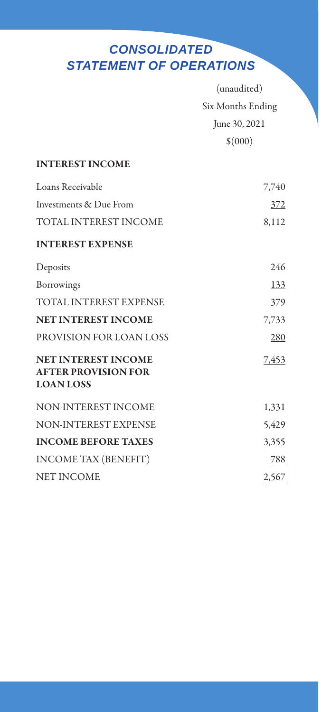## *STATEMENT OF OPERATIONS CONSOLIDATED*

|                                                                              | (unaudited)<br>Six Months Ending |  |
|------------------------------------------------------------------------------|----------------------------------|--|
|                                                                              |                                  |  |
|                                                                              | June 30, 2021                    |  |
|                                                                              | \$(000)                          |  |
| <b>INTEREST INCOME</b>                                                       |                                  |  |
| Loans Receivable                                                             | 7,740                            |  |
| Investments & Due From                                                       | 372                              |  |
| TOTAL INTEREST INCOME                                                        | 8,112                            |  |
| <b>INTEREST EXPENSE</b>                                                      |                                  |  |
| Deposits                                                                     | 246                              |  |
| Borrowings                                                                   | 133                              |  |
| <b>TOTAL INTEREST EXPENSE</b>                                                | 379                              |  |
| <b>NET INTEREST INCOME</b>                                                   | 7,733                            |  |
| PROVISION FOR LOAN LOSS                                                      | 280                              |  |
| <b>NET INTEREST INCOME</b><br><b>AFTER PROVISION FOR</b><br><b>LOAN LOSS</b> | 7.453                            |  |
| NON-INTEREST INCOME                                                          | 1,331                            |  |
| <b>NON-INTEREST EXPENSE</b>                                                  | 5,429                            |  |
| <b>INCOME BEFORE TAXES</b>                                                   | 3,355                            |  |
| <b>INCOME TAX (BENEFIT)</b>                                                  | 788                              |  |
| <b>NET INCOME</b>                                                            | 2,567                            |  |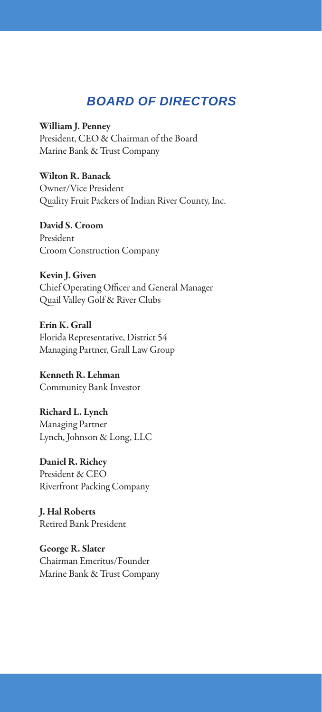### *BOARD OF DIRECTORS*

William J. Penney President, CEO & Chairman of the Board Marine Bank & Trust Company

Wilton R. Banack Owner/Vice President Quality Fruit Packers of Indian River County, Inc.

David S. Croom President Croom Construction Company

Kevin J. Given Chief Operating Officer and General Manager Quail Valley Golf & River Clubs

Erin K. Grall Florida Representative, District 54 Managing Partner, Grall Law Group

Kenneth R. Lehman Community Bank Investor

Richard L. Lynch Managing Partner Lynch, Johnson & Long, LLC

Daniel R. Richey President & CEO Riverfront Packing Company

J. Hal Roberts Retired Bank President

George R. Slater Chairman Emeritus/Founder Marine Bank & Trust Company